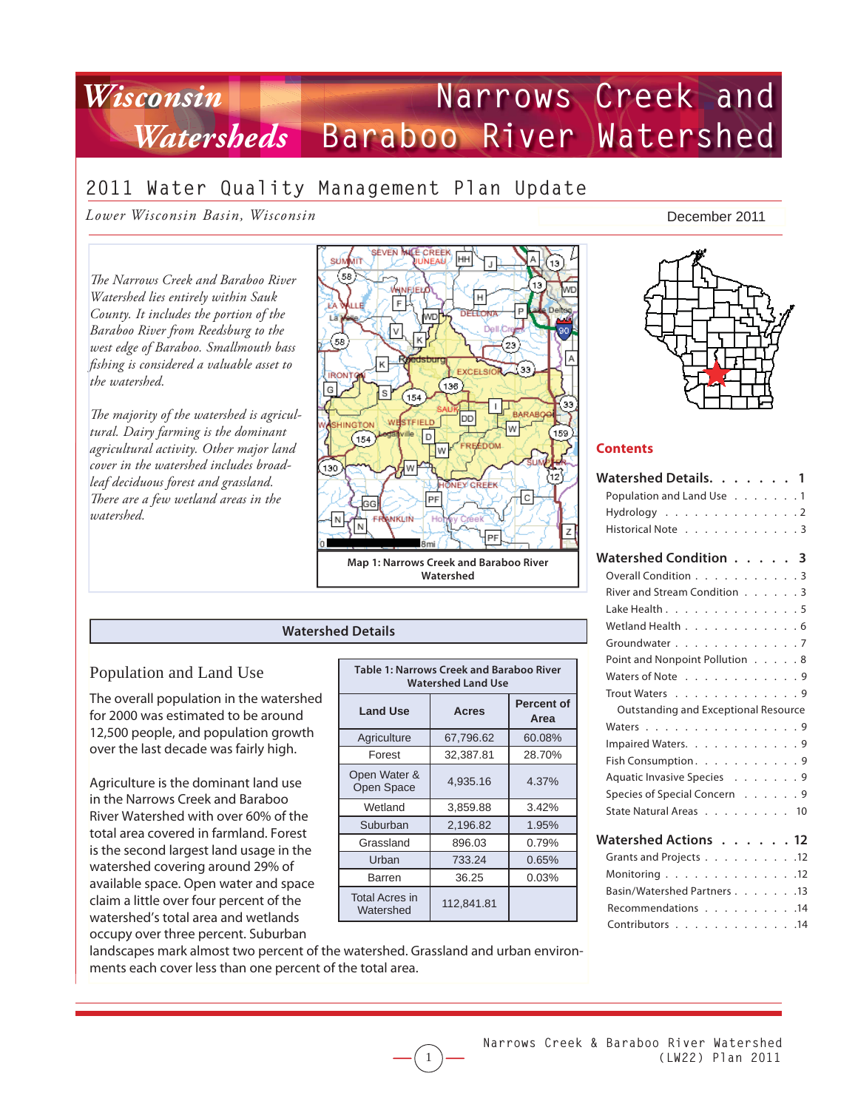# **Narrows Creek and Baraboo River Watershed** Watershed *Wisconsin*

# **2011 Water Quality Management Plan Update**

*Lower Wisconsin Basin, Wisconsin*

*The Narrows Creek and Baraboo River Watershed lies entirely within Sauk County. It includes the portion of the Baraboo River from Reedsburg to the west edge of Baraboo. Smallmouth bass fi shing is considered a valuable asset to the watershed.* 

The majority of the watershed is agricul*tural. Dairy farming is the dominant agricultural activity. Other major land cover in the watershed includes broadleaf deciduous forest and grassland. Th ere are a few wetland areas in the watershed.*



#### **Watershed Details**

### Population and Land Use

The overall population in the watershed for 2000 was estimated to be around 12,500 people, and population growth over the last decade was fairly high.

Agriculture is the dominant land use in the Narrows Creek and Baraboo River Watershed with over 60% of the total area covered in farmland. Forest is the second largest land usage in the watershed covering around 29% of available space. Open water and space claim a little over four percent of the watershed's total area and wetlands occupy over three percent. Suburban

| <b>Table 1: Narrows Creek and Baraboo River</b><br><b>Watershed Land Use</b> |              |                           |  |  |  |
|------------------------------------------------------------------------------|--------------|---------------------------|--|--|--|
| <b>Land Use</b>                                                              | <b>Acres</b> | <b>Percent of</b><br>Area |  |  |  |
| Agriculture                                                                  | 67,796.62    | 60.08%                    |  |  |  |
| Forest                                                                       | 32,387.81    | 28.70%                    |  |  |  |
| Open Water &<br>Open Space                                                   | 4,935.16     | 4.37%                     |  |  |  |
| Wetland                                                                      | 3,859.88     | 3.42%                     |  |  |  |
| Suburban                                                                     | 2,196.82     | 1.95%                     |  |  |  |
| Grassland                                                                    | 896.03       | 0.79%                     |  |  |  |
| Urban                                                                        | 733.24       | $0.65\%$                  |  |  |  |
| Barren                                                                       | 36.25        | 0.03%                     |  |  |  |
| <b>Total Acres in</b><br>Watershed                                           | 112,841.81   |                           |  |  |  |

1

#### December 2011



#### **Contents**

| Watershed Details. 1                                      |     |
|-----------------------------------------------------------|-----|
| Population and Land Use 1                                 |     |
| Hydrology 2                                               |     |
| Historical Note 3                                         |     |
| Watershed Condition 3                                     |     |
| Overall Condition 3                                       |     |
| River and Stream Condition 3                              |     |
| Lake Health 5                                             |     |
| Wetland Health 6                                          |     |
| Groundwater 7                                             |     |
| Point and Nonpoint Pollution 8                            |     |
| Waters of Note 9                                          |     |
| Trout Waters 9                                            |     |
| Outstanding and Exceptional Resource                      |     |
| Waters 9                                                  |     |
| Impaired Waters. 9                                        |     |
| Fish Consumption. 9                                       |     |
| Aquatic Invasive Species 9                                |     |
| Species of Special Concern 9                              |     |
| State Natural Areas 10                                    |     |
|                                                           |     |
| Watershed Actions 12                                      |     |
| Grants and Projects 12                                    |     |
| Monitoring $\ldots$ , $\ldots$ , $\ldots$ , $\ldots$ , 12 |     |
| Basin/Watershed Partners 13                               |     |
| Recommendations 14                                        |     |
| Contributors                                              | .14 |

landscapes mark almost two percent of the watershed. Grassland and urban environments each cover less than one percent of the total area.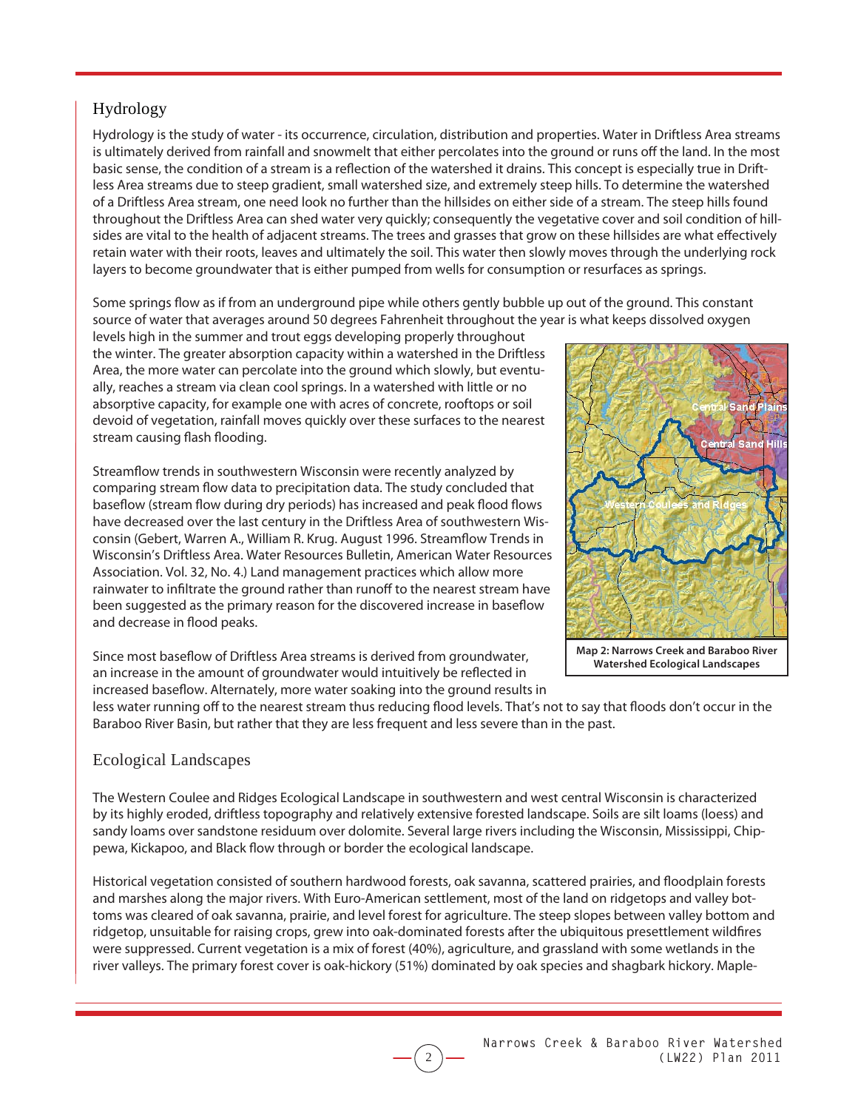# Hydrology

Hydrology is the study of water - its occurrence, circulation, distribution and properties. Water in Driftless Area streams is ultimately derived from rainfall and snowmelt that either percolates into the ground or runs off the land. In the most basic sense, the condition of a stream is a reflection of the watershed it drains. This concept is especially true in Driftless Area streams due to steep gradient, small watershed size, and extremely steep hills. To determine the watershed of a Driftless Area stream, one need look no further than the hillsides on either side of a stream. The steep hills found throughout the Driftless Area can shed water very quickly; consequently the vegetative cover and soil condition of hillsides are vital to the health of adjacent streams. The trees and grasses that grow on these hillsides are what effectively retain water with their roots, leaves and ultimately the soil. This water then slowly moves through the underlying rock layers to become groundwater that is either pumped from wells for consumption or resurfaces as springs.

Some springs flow as if from an underground pipe while others gently bubble up out of the ground. This constant source of water that averages around 50 degrees Fahrenheit throughout the year is what keeps dissolved oxygen

levels high in the summer and trout eggs developing properly throughout the winter. The greater absorption capacity within a watershed in the Driftless Area, the more water can percolate into the ground which slowly, but eventually, reaches a stream via clean cool springs. In a watershed with little or no absorptive capacity, for example one with acres of concrete, rooftops or soil devoid of vegetation, rainfall moves quickly over these surfaces to the nearest stream causing flash flooding.

Streamflow trends in southwestern Wisconsin were recently analyzed by comparing stream flow data to precipitation data. The study concluded that baseflow (stream flow during dry periods) has increased and peak flood flows have decreased over the last century in the Driftless Area of southwestern Wisconsin (Gebert, Warren A., William R. Krug. August 1996. Streamflow Trends in Wisconsin's Driftless Area. Water Resources Bulletin, American Water Resources Association. Vol. 32, No. 4.) Land management practices which allow more rainwater to infiltrate the ground rather than runoff to the nearest stream have been suggested as the primary reason for the discovered increase in baseflow and decrease in flood peaks.

Since most baseflow of Driftless Area streams is derived from groundwater, an increase in the amount of groundwater would intuitively be reflected in increased baseflow. Alternately, more water soaking into the ground results in



**Watershed Ecological Landscapes**

less water running off to the nearest stream thus reducing flood levels. That's not to say that floods don't occur in the Baraboo River Basin, but rather that they are less frequent and less severe than in the past.

### Ecological Landscapes

The Western Coulee and Ridges Ecological Landscape in southwestern and west central Wisconsin is characterized by its highly eroded, driftless topography and relatively extensive forested landscape. Soils are silt loams (loess) and sandy loams over sandstone residuum over dolomite. Several large rivers including the Wisconsin, Mississippi, Chippewa, Kickapoo, and Black flow through or border the ecological landscape.

Historical vegetation consisted of southern hardwood forests, oak savanna, scattered prairies, and floodplain forests and marshes along the major rivers. With Euro-American settlement, most of the land on ridgetops and valley bottoms was cleared of oak savanna, prairie, and level forest for agriculture. The steep slopes between valley bottom and ridgetop, unsuitable for raising crops, grew into oak-dominated forests after the ubiquitous presettlement wildfires were suppressed. Current vegetation is a mix of forest (40%), agriculture, and grassland with some wetlands in the river valleys. The primary forest cover is oak-hickory (51%) dominated by oak species and shagbark hickory. Maple-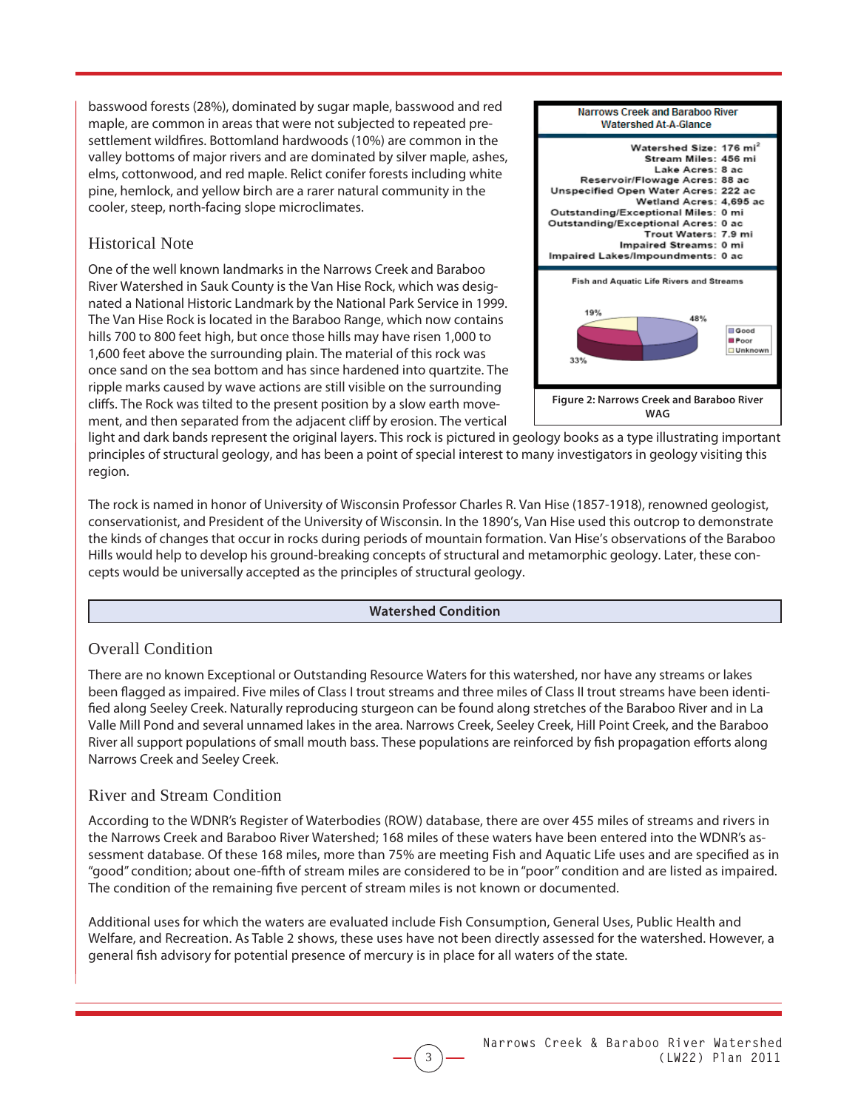basswood forests (28%), dominated by sugar maple, basswood and red maple, are common in areas that were not subjected to repeated presettlement wildfires. Bottomland hardwoods (10%) are common in the valley bottoms of major rivers and are dominated by silver maple, ashes, elms, cottonwood, and red maple. Relict conifer forests including white pine, hemlock, and yellow birch are a rarer natural community in the cooler, steep, north-facing slope microclimates.

# Historical Note

One of the well known landmarks in the Narrows Creek and Baraboo River Watershed in Sauk County is the Van Hise Rock, which was designated a National Historic Landmark by the National Park Service in 1999. The Van Hise Rock is located in the Baraboo Range, which now contains hills 700 to 800 feet high, but once those hills may have risen 1,000 to 1,600 feet above the surrounding plain. The material of this rock was once sand on the sea bottom and has since hardened into quartzite. The ripple marks caused by wave actions are still visible on the surrounding cliffs. The Rock was tilted to the present position by a slow earth movement, and then separated from the adjacent cliff by erosion. The vertical



light and dark bands represent the original layers. This rock is pictured in geology books as a type illustrating important principles of structural geology, and has been a point of special interest to many investigators in geology visiting this region.

The rock is named in honor of University of Wisconsin Professor Charles R. Van Hise (1857-1918), renowned geologist, conservationist, and President of the University of Wisconsin. In the 1890's, Van Hise used this outcrop to demonstrate the kinds of changes that occur in rocks during periods of mountain formation. Van Hise's observations of the Baraboo Hills would help to develop his ground-breaking concepts of structural and metamorphic geology. Later, these concepts would be universally accepted as the principles of structural geology.

### **Watershed Condition**

# Overall Condition

There are no known Exceptional or Outstanding Resource Waters for this watershed, nor have any streams or lakes been flagged as impaired. Five miles of Class I trout streams and three miles of Class II trout streams have been identified along Seeley Creek. Naturally reproducing sturgeon can be found along stretches of the Baraboo River and in La Valle Mill Pond and several unnamed lakes in the area. Narrows Creek, Seeley Creek, Hill Point Creek, and the Baraboo River all support populations of small mouth bass. These populations are reinforced by fish propagation efforts along Narrows Creek and Seeley Creek.

# River and Stream Condition

According to the WDNR's Register of Waterbodies (ROW) database, there are over 455 miles of streams and rivers in the Narrows Creek and Baraboo River Watershed; 168 miles of these waters have been entered into the WDNR's assessment database. Of these 168 miles, more than 75% are meeting Fish and Aquatic Life uses and are specified as in "good" condition; about one-fifth of stream miles are considered to be in "poor" condition and are listed as impaired. The condition of the remaining five percent of stream miles is not known or documented.

Additional uses for which the waters are evaluated include Fish Consumption, General Uses, Public Health and Welfare, and Recreation. As Table 2 shows, these uses have not been directly assessed for the watershed. However, a general fish advisory for potential presence of mercury is in place for all waters of the state.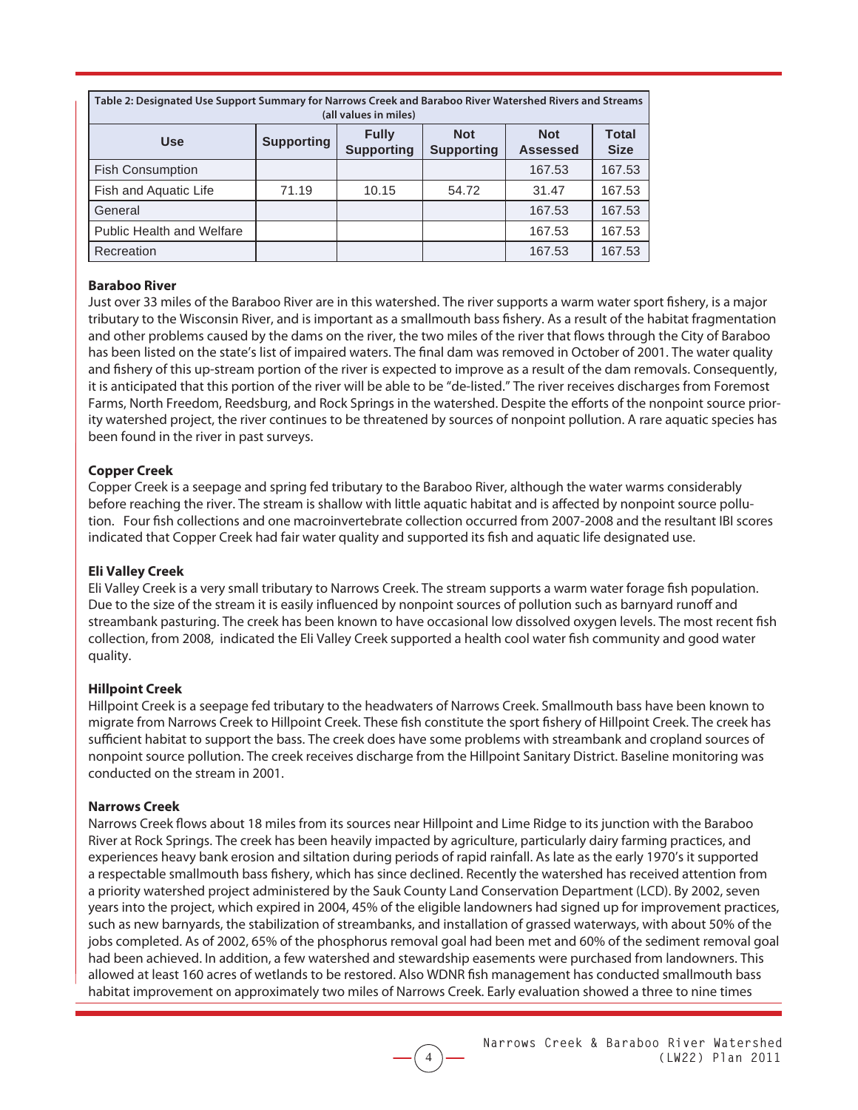| Table 2: Designated Use Support Summary for Narrows Creek and Baraboo River Watershed Rivers and Streams<br>(all values in miles)                                       |       |       |       |        |        |  |  |  |
|-------------------------------------------------------------------------------------------------------------------------------------------------------------------------|-------|-------|-------|--------|--------|--|--|--|
| <b>Total</b><br><b>Fully</b><br><b>Not</b><br><b>Not</b><br><b>Supporting</b><br><b>Use</b><br><b>Supporting</b><br><b>Supporting</b><br><b>Size</b><br><b>Assessed</b> |       |       |       |        |        |  |  |  |
| <b>Fish Consumption</b>                                                                                                                                                 |       |       |       | 167.53 | 167.53 |  |  |  |
| Fish and Aquatic Life                                                                                                                                                   | 71.19 | 10.15 | 54.72 | 31.47  | 167.53 |  |  |  |
| General                                                                                                                                                                 |       |       |       | 167.53 | 167.53 |  |  |  |
| <b>Public Health and Welfare</b>                                                                                                                                        |       |       |       | 167.53 | 167.53 |  |  |  |
| Recreation                                                                                                                                                              |       |       |       | 167.53 | 167.53 |  |  |  |

#### **Baraboo River**

Just over 33 miles of the Baraboo River are in this watershed. The river supports a warm water sport fishery, is a major tributary to the Wisconsin River, and is important as a smallmouth bass fishery. As a result of the habitat fragmentation and other problems caused by the dams on the river, the two miles of the river that flows through the City of Baraboo has been listed on the state's list of impaired waters. The final dam was removed in October of 2001. The water quality and fishery of this up-stream portion of the river is expected to improve as a result of the dam removals. Consequently, it is anticipated that this portion of the river will be able to be "de-listed." The river receives discharges from Foremost Farms, North Freedom, Reedsburg, and Rock Springs in the watershed. Despite the efforts of the nonpoint source priority watershed project, the river continues to be threatened by sources of nonpoint pollution. A rare aquatic species has been found in the river in past surveys.

#### **Copper Creek**

Copper Creek is a seepage and spring fed tributary to the Baraboo River, although the water warms considerably before reaching the river. The stream is shallow with little aquatic habitat and is affected by nonpoint source pollution. Four fish collections and one macroinvertebrate collection occurred from 2007-2008 and the resultant IBI scores indicated that Copper Creek had fair water quality and supported its fish and aquatic life designated use.

#### **Eli Valley Creek**

Eli Valley Creek is a very small tributary to Narrows Creek. The stream supports a warm water forage fish population. Due to the size of the stream it is easily influenced by nonpoint sources of pollution such as barnyard runoff and streambank pasturing. The creek has been known to have occasional low dissolved oxygen levels. The most recent fish collection, from 2008, indicated the Eli Valley Creek supported a health cool water fish community and good water quality.

#### **Hillpoint Creek**

Hillpoint Creek is a seepage fed tributary to the headwaters of Narrows Creek. Smallmouth bass have been known to migrate from Narrows Creek to Hillpoint Creek. These fish constitute the sport fishery of Hillpoint Creek. The creek has sufficient habitat to support the bass. The creek does have some problems with streambank and cropland sources of nonpoint source pollution. The creek receives discharge from the Hillpoint Sanitary District. Baseline monitoring was conducted on the stream in 2001.

#### **Narrows Creek**

Narrows Creek flows about 18 miles from its sources near Hillpoint and Lime Ridge to its junction with the Baraboo River at Rock Springs. The creek has been heavily impacted by agriculture, particularly dairy farming practices, and experiences heavy bank erosion and siltation during periods of rapid rainfall. As late as the early 1970's it supported a respectable smallmouth bass fishery, which has since declined. Recently the watershed has received attention from a priority watershed project administered by the Sauk County Land Conservation Department (LCD). By 2002, seven years into the project, which expired in 2004, 45% of the eligible landowners had signed up for improvement practices, such as new barnyards, the stabilization of streambanks, and installation of grassed waterways, with about 50% of the jobs completed. As of 2002, 65% of the phosphorus removal goal had been met and 60% of the sediment removal goal had been achieved. In addition, a few watershed and stewardship easements were purchased from landowners. This allowed at least 160 acres of wetlands to be restored. Also WDNR fish management has conducted smallmouth bass habitat improvement on approximately two miles of Narrows Creek. Early evaluation showed a three to nine times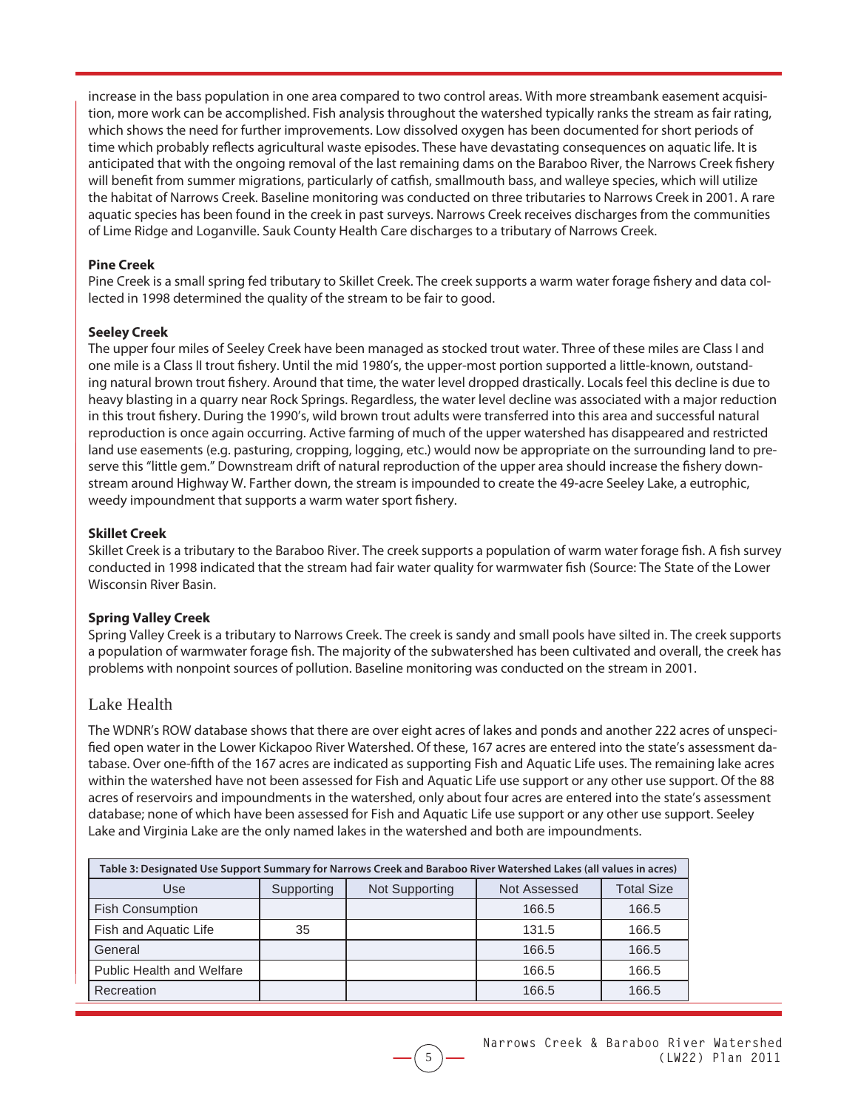increase in the bass population in one area compared to two control areas. With more streambank easement acquisition, more work can be accomplished. Fish analysis throughout the watershed typically ranks the stream as fair rating, which shows the need for further improvements. Low dissolved oxygen has been documented for short periods of time which probably reflects agricultural waste episodes. These have devastating consequences on aquatic life. It is anticipated that with the ongoing removal of the last remaining dams on the Baraboo River, the Narrows Creek fishery will benefit from summer migrations, particularly of catfish, smallmouth bass, and walleye species, which will utilize the habitat of Narrows Creek. Baseline monitoring was conducted on three tributaries to Narrows Creek in 2001. A rare aquatic species has been found in the creek in past surveys. Narrows Creek receives discharges from the communities of Lime Ridge and Loganville. Sauk County Health Care discharges to a tributary of Narrows Creek.

#### **Pine Creek**

Pine Creek is a small spring fed tributary to Skillet Creek. The creek supports a warm water forage fishery and data collected in 1998 determined the quality of the stream to be fair to good.

#### **Seeley Creek**

The upper four miles of Seeley Creek have been managed as stocked trout water. Three of these miles are Class I and one mile is a Class II trout fishery. Until the mid 1980's, the upper-most portion supported a little-known, outstanding natural brown trout fishery. Around that time, the water level dropped drastically. Locals feel this decline is due to heavy blasting in a quarry near Rock Springs. Regardless, the water level decline was associated with a major reduction in this trout fishery. During the 1990's, wild brown trout adults were transferred into this area and successful natural reproduction is once again occurring. Active farming of much of the upper watershed has disappeared and restricted land use easements (e.g. pasturing, cropping, logging, etc.) would now be appropriate on the surrounding land to preserve this "little gem." Downstream drift of natural reproduction of the upper area should increase the fishery downstream around Highway W. Farther down, the stream is impounded to create the 49-acre Seeley Lake, a eutrophic, weedy impoundment that supports a warm water sport fishery.

#### **Skillet Creek**

Skillet Creek is a tributary to the Baraboo River. The creek supports a population of warm water forage fish. A fish survey conducted in 1998 indicated that the stream had fair water quality for warmwater fish (Source: The State of the Lower Wisconsin River Basin.

### **Spring Valley Creek**

Spring Valley Creek is a tributary to Narrows Creek. The creek is sandy and small pools have silted in. The creek supports a population of warmwater forage fish. The majority of the subwatershed has been cultivated and overall, the creek has problems with nonpoint sources of pollution. Baseline monitoring was conducted on the stream in 2001.

# Lake Health

The WDNR's ROW database shows that there are over eight acres of lakes and ponds and another 222 acres of unspecified open water in the Lower Kickapoo River Watershed. Of these, 167 acres are entered into the state's assessment database. Over one-fifth of the 167 acres are indicated as supporting Fish and Aquatic Life uses. The remaining lake acres within the watershed have not been assessed for Fish and Aquatic Life use support or any other use support. Of the 88 acres of reservoirs and impoundments in the watershed, only about four acres are entered into the state's assessment database; none of which have been assessed for Fish and Aquatic Life use support or any other use support. Seeley Lake and Virginia Lake are the only named lakes in the watershed and both are impoundments.

| Table 3: Designated Use Support Summary for Narrows Creek and Baraboo River Watershed Lakes (all values in acres) |                                              |  |       |                   |  |  |
|-------------------------------------------------------------------------------------------------------------------|----------------------------------------------|--|-------|-------------------|--|--|
| Use                                                                                                               | Not Supporting<br>Not Assessed<br>Supporting |  |       | <b>Total Size</b> |  |  |
| <b>Fish Consumption</b>                                                                                           |                                              |  | 166.5 | 166.5             |  |  |
| Fish and Aquatic Life                                                                                             | 35                                           |  | 131.5 | 166.5             |  |  |
| General                                                                                                           |                                              |  | 166.5 | 166.5             |  |  |
| <b>Public Health and Welfare</b>                                                                                  |                                              |  | 166.5 | 166.5             |  |  |
| Recreation                                                                                                        |                                              |  | 166.5 | 166.5             |  |  |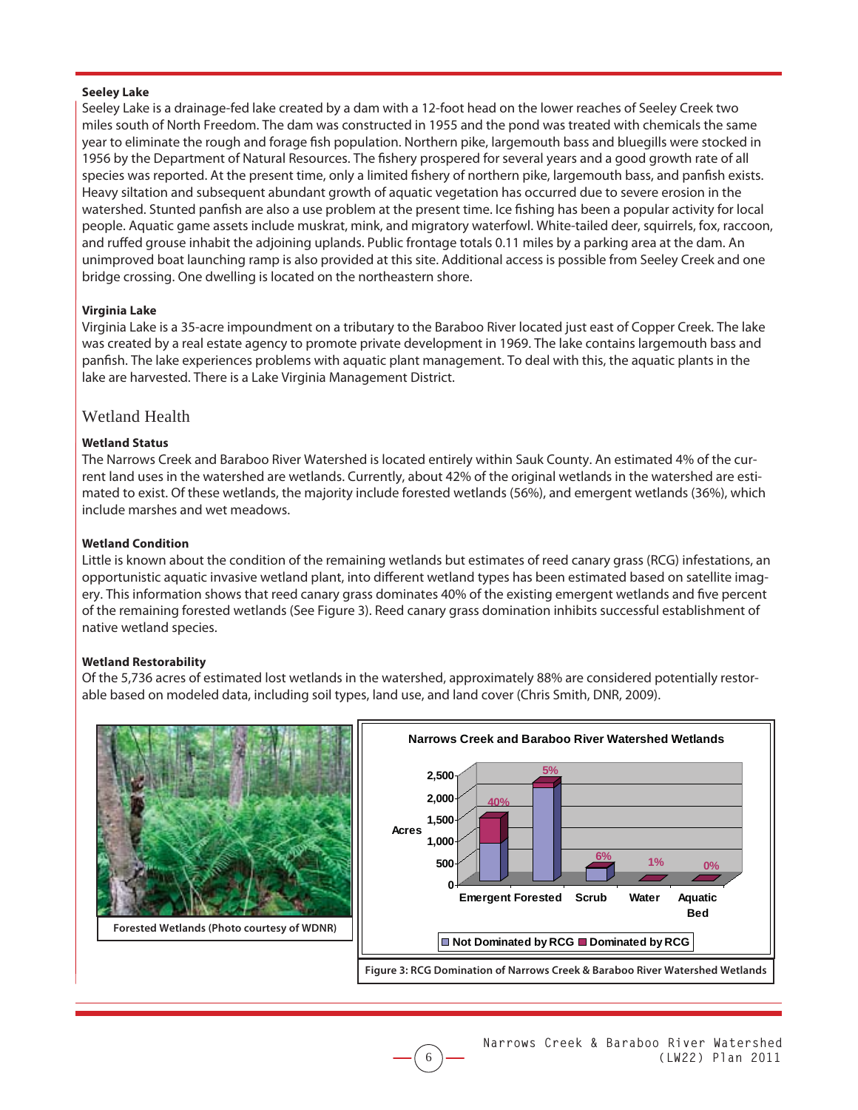#### **Seeley Lake**

Seeley Lake is a drainage-fed lake created by a dam with a 12-foot head on the lower reaches of Seeley Creek two miles south of North Freedom. The dam was constructed in 1955 and the pond was treated with chemicals the same year to eliminate the rough and forage fish population. Northern pike, largemouth bass and bluegills were stocked in 1956 by the Department of Natural Resources. The fishery prospered for several years and a good growth rate of all species was reported. At the present time, only a limited fishery of northern pike, largemouth bass, and panfish exists. Heavy siltation and subsequent abundant growth of aquatic vegetation has occurred due to severe erosion in the watershed. Stunted panfish are also a use problem at the present time. Ice fishing has been a popular activity for local people. Aquatic game assets include muskrat, mink, and migratory waterfowl. White-tailed deer, squirrels, fox, raccoon, and ruffed grouse inhabit the adjoining uplands. Public frontage totals 0.11 miles by a parking area at the dam. An unimproved boat launching ramp is also provided at this site. Additional access is possible from Seeley Creek and one bridge crossing. One dwelling is located on the northeastern shore.

#### **Virginia Lake**

Virginia Lake is a 35-acre impoundment on a tributary to the Baraboo River located just east of Copper Creek. The lake was created by a real estate agency to promote private development in 1969. The lake contains largemouth bass and panfish. The lake experiences problems with aquatic plant management. To deal with this, the aquatic plants in the lake are harvested. There is a Lake Virginia Management District.

#### Wetland Health

#### **Wetland Status**

The Narrows Creek and Baraboo River Watershed is located entirely within Sauk County. An estimated 4% of the current land uses in the watershed are wetlands. Currently, about 42% of the original wetlands in the watershed are estimated to exist. Of these wetlands, the majority include forested wetlands (56%), and emergent wetlands (36%), which include marshes and wet meadows.

#### **Wetland Condition**

Little is known about the condition of the remaining wetlands but estimates of reed canary grass (RCG) infestations, an opportunistic aquatic invasive wetland plant, into different wetland types has been estimated based on satellite imagery. This information shows that reed canary grass dominates 40% of the existing emergent wetlands and five percent of the remaining forested wetlands (See Figure 3). Reed canary grass domination inhibits successful establishment of native wetland species.

#### **Wetland Restorability**

Of the 5,736 acres of estimated lost wetlands in the watershed, approximately 88% are considered potentially restorable based on modeled data, including soil types, land use, and land cover (Chris Smith, DNR, 2009).

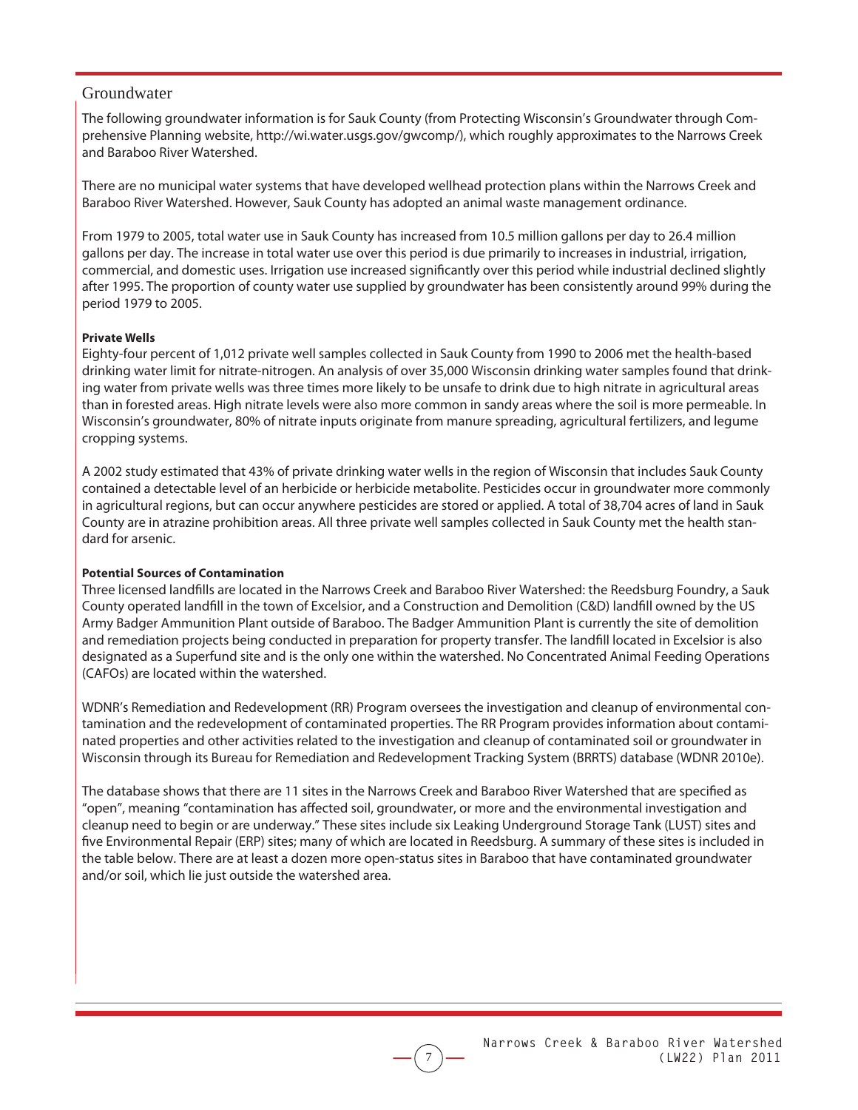### Groundwater

The following groundwater information is for Sauk County (from Protecting Wisconsin's Groundwater through Comprehensive Planning website, http://wi.water.usgs.gov/gwcomp/), which roughly approximates to the Narrows Creek and Baraboo River Watershed.

There are no municipal water systems that have developed wellhead protection plans within the Narrows Creek and Baraboo River Watershed. However, Sauk County has adopted an animal waste management ordinance.

From 1979 to 2005, total water use in Sauk County has increased from 10.5 million gallons per day to 26.4 million gallons per day. The increase in total water use over this period is due primarily to increases in industrial, irrigation, commercial, and domestic uses. Irrigation use increased significantly over this period while industrial declined slightly after 1995. The proportion of county water use supplied by groundwater has been consistently around 99% during the period 1979 to 2005.

#### **Private Wells**

Eighty-four percent of 1,012 private well samples collected in Sauk County from 1990 to 2006 met the health-based drinking water limit for nitrate-nitrogen. An analysis of over 35,000 Wisconsin drinking water samples found that drinking water from private wells was three times more likely to be unsafe to drink due to high nitrate in agricultural areas than in forested areas. High nitrate levels were also more common in sandy areas where the soil is more permeable. In Wisconsin's groundwater, 80% of nitrate inputs originate from manure spreading, agricultural fertilizers, and legume cropping systems.

A 2002 study estimated that 43% of private drinking water wells in the region of Wisconsin that includes Sauk County contained a detectable level of an herbicide or herbicide metabolite. Pesticides occur in groundwater more commonly in agricultural regions, but can occur anywhere pesticides are stored or applied. A total of 38,704 acres of land in Sauk County are in atrazine prohibition areas. All three private well samples collected in Sauk County met the health standard for arsenic.

#### **Potential Sources of Contamination**

Three licensed landfills are located in the Narrows Creek and Baraboo River Watershed: the Reedsburg Foundry, a Sauk County operated landfill in the town of Excelsior, and a Construction and Demolition (C&D) landfill owned by the US Army Badger Ammunition Plant outside of Baraboo. The Badger Ammunition Plant is currently the site of demolition and remediation projects being conducted in preparation for property transfer. The landfill located in Excelsior is also designated as a Superfund site and is the only one within the watershed. No Concentrated Animal Feeding Operations (CAFOs) are located within the watershed.

WDNR's Remediation and Redevelopment (RR) Program oversees the investigation and cleanup of environmental contamination and the redevelopment of contaminated properties. The RR Program provides information about contaminated properties and other activities related to the investigation and cleanup of contaminated soil or groundwater in Wisconsin through its Bureau for Remediation and Redevelopment Tracking System (BRRTS) database (WDNR 2010e).

The database shows that there are 11 sites in the Narrows Creek and Baraboo River Watershed that are specified as "open", meaning "contamination has affected soil, groundwater, or more and the environmental investigation and cleanup need to begin or are underway." These sites include six Leaking Underground Storage Tank (LUST) sites and five Environmental Repair (ERP) sites; many of which are located in Reedsburg. A summary of these sites is included in the table below. There are at least a dozen more open-status sites in Baraboo that have contaminated groundwater and/or soil, which lie just outside the watershed area.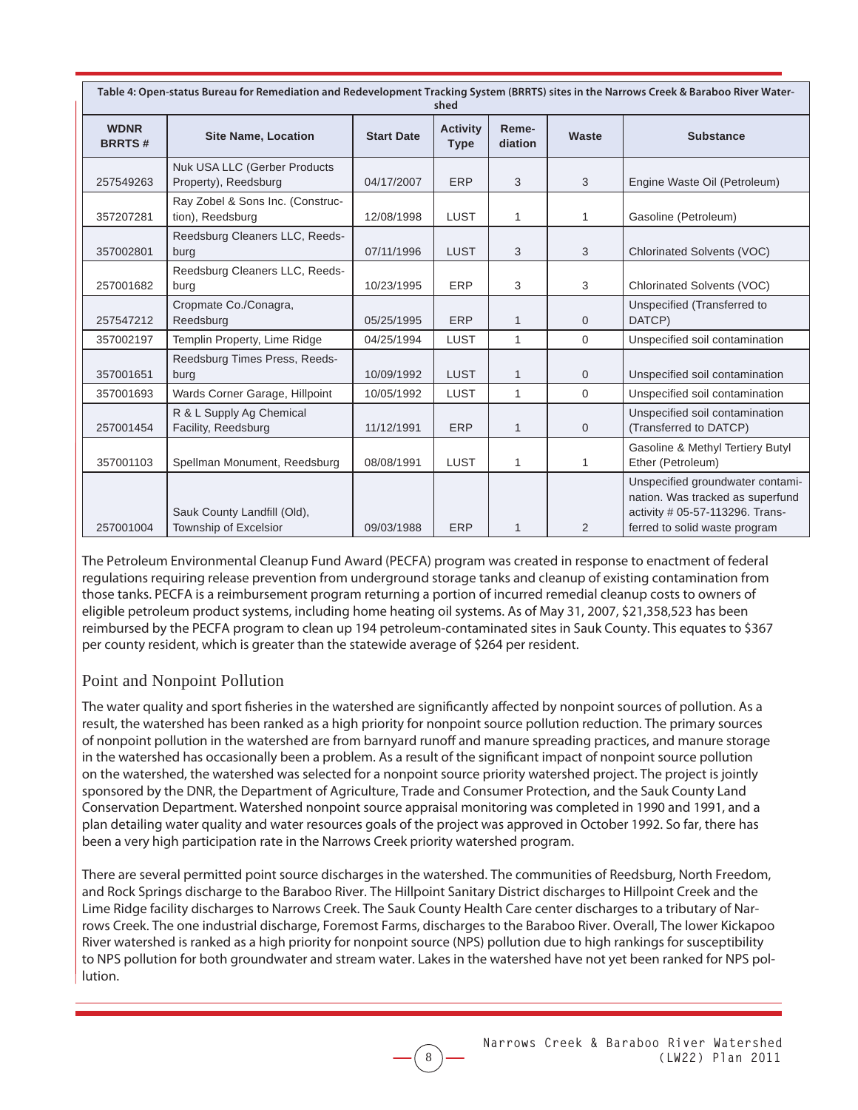| Table 4: Open-status Bureau for Remediation and Redevelopment Tracking System (BRRTS) sites in the Narrows Creek & Baraboo River Water-<br>shed |                                                      |                   |                                |                  |                |                                                                                                                                          |
|-------------------------------------------------------------------------------------------------------------------------------------------------|------------------------------------------------------|-------------------|--------------------------------|------------------|----------------|------------------------------------------------------------------------------------------------------------------------------------------|
| <b>WDNR</b><br><b>BRRTS#</b>                                                                                                                    | <b>Site Name, Location</b>                           | <b>Start Date</b> | <b>Activity</b><br><b>Type</b> | Reme-<br>diation | Waste          | <b>Substance</b>                                                                                                                         |
| 257549263                                                                                                                                       | Nuk USA LLC (Gerber Products<br>Property), Reedsburg | 04/17/2007        | <b>ERP</b>                     | 3                | 3              | Engine Waste Oil (Petroleum)                                                                                                             |
| 357207281                                                                                                                                       | Ray Zobel & Sons Inc. (Construc-<br>tion), Reedsburg | 12/08/1998        | LUST                           | 1                | 1              | Gasoline (Petroleum)                                                                                                                     |
| 357002801                                                                                                                                       | Reedsburg Cleaners LLC, Reeds-<br>burg               | 07/11/1996        | <b>LUST</b>                    | 3                | 3              | <b>Chlorinated Solvents (VOC)</b>                                                                                                        |
| 257001682                                                                                                                                       | Reedsburg Cleaners LLC, Reeds-<br>burg               | 10/23/1995        | ERP                            | 3                | 3              | Chlorinated Solvents (VOC)                                                                                                               |
| 257547212                                                                                                                                       | Cropmate Co./Conagra,<br>Reedsburg                   | 05/25/1995        | ERP                            | 1                | $\Omega$       | Unspecified (Transferred to<br>DATCP)                                                                                                    |
| 357002197                                                                                                                                       | Templin Property, Lime Ridge                         | 04/25/1994        | <b>LUST</b>                    | 1                | $\Omega$       | Unspecified soil contamination                                                                                                           |
| 357001651                                                                                                                                       | Reedsburg Times Press, Reeds-<br>burg                | 10/09/1992        | <b>LUST</b>                    | 1                | $\mathbf{0}$   | Unspecified soil contamination                                                                                                           |
| 357001693                                                                                                                                       | Wards Corner Garage, Hillpoint                       | 10/05/1992        | <b>LUST</b>                    | 1                | $\Omega$       | Unspecified soil contamination                                                                                                           |
| 257001454                                                                                                                                       | R & L Supply Ag Chemical<br>Facility, Reedsburg      | 11/12/1991        | <b>ERP</b>                     | $\mathbf{1}$     | $\mathbf{0}$   | Unspecified soil contamination<br>(Transferred to DATCP)                                                                                 |
| 357001103                                                                                                                                       | Spellman Monument, Reedsburg                         | 08/08/1991        | <b>LUST</b>                    | 1                | $\mathbf{1}$   | Gasoline & Methyl Tertiery Butyl<br>Ether (Petroleum)                                                                                    |
| 257001004                                                                                                                                       | Sauk County Landfill (Old),<br>Township of Excelsior | 09/03/1988        | <b>ERP</b>                     | 1                | $\overline{2}$ | Unspecified groundwater contami-<br>nation. Was tracked as superfund<br>activity # 05-57-113296. Trans-<br>ferred to solid waste program |

The Petroleum Environmental Cleanup Fund Award (PECFA) program was created in response to enactment of federal regulations requiring release prevention from underground storage tanks and cleanup of existing contamination from those tanks. PECFA is a reimbursement program returning a portion of incurred remedial cleanup costs to owners of eligible petroleum product systems, including home heating oil systems. As of May 31, 2007, \$21,358,523 has been reimbursed by the PECFA program to clean up 194 petroleum-contaminated sites in Sauk County. This equates to \$367 per county resident, which is greater than the statewide average of \$264 per resident.

# Point and Nonpoint Pollution

The water quality and sport fisheries in the watershed are significantly affected by nonpoint sources of pollution. As a result, the watershed has been ranked as a high priority for nonpoint source pollution reduction. The primary sources of nonpoint pollution in the watershed are from barnyard runoff and manure spreading practices, and manure storage in the watershed has occasionally been a problem. As a result of the significant impact of nonpoint source pollution on the watershed, the watershed was selected for a nonpoint source priority watershed project. The project is jointly sponsored by the DNR, the Department of Agriculture, Trade and Consumer Protection, and the Sauk County Land Conservation Department. Watershed nonpoint source appraisal monitoring was completed in 1990 and 1991, and a plan detailing water quality and water resources goals of the project was approved in October 1992. So far, there has been a very high participation rate in the Narrows Creek priority watershed program.

There are several permitted point source discharges in the watershed. The communities of Reedsburg, North Freedom, and Rock Springs discharge to the Baraboo River. The Hillpoint Sanitary District discharges to Hillpoint Creek and the Lime Ridge facility discharges to Narrows Creek. The Sauk County Health Care center discharges to a tributary of Narrows Creek. The one industrial discharge, Foremost Farms, discharges to the Baraboo River. Overall, The lower Kickapoo River watershed is ranked as a high priority for nonpoint source (NPS) pollution due to high rankings for susceptibility to NPS pollution for both groundwater and stream water. Lakes in the watershed have not yet been ranked for NPS pollution.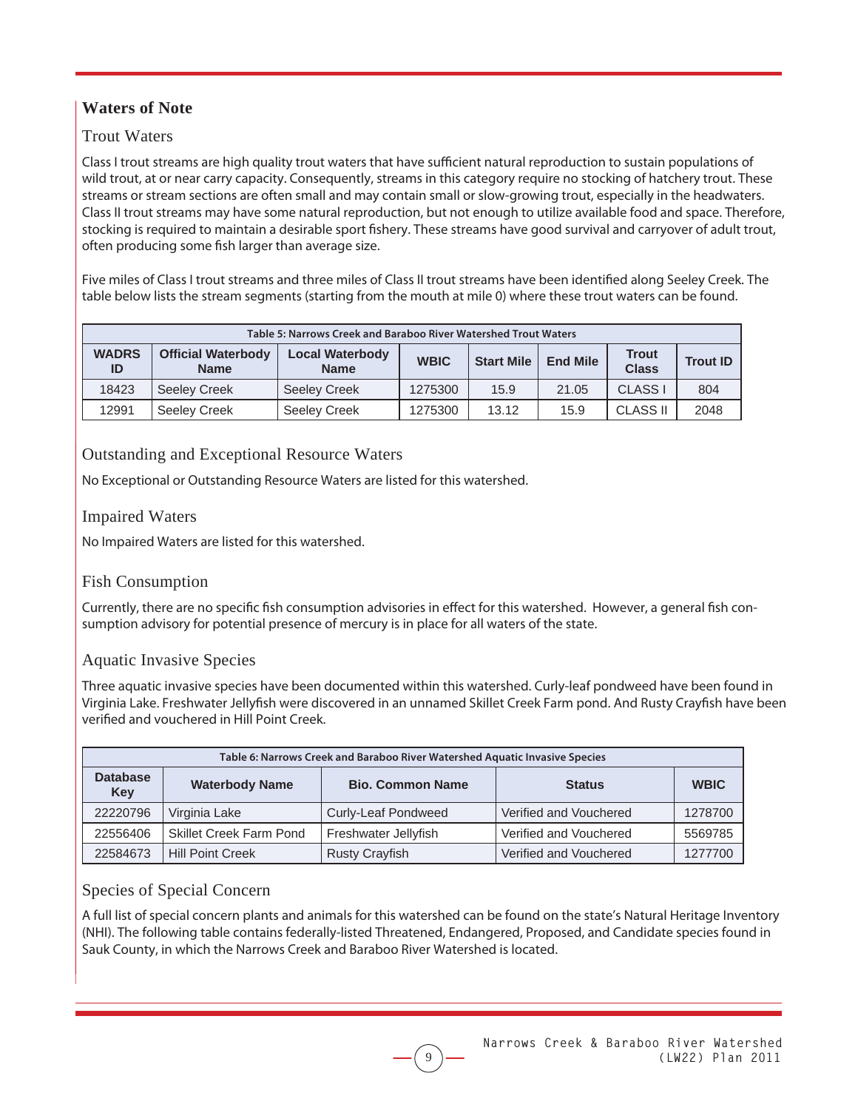# **Waters of Note**

# Trout Waters

Class I trout streams are high quality trout waters that have sufficient natural reproduction to sustain populations of wild trout, at or near carry capacity. Consequently, streams in this category require no stocking of hatchery trout. These streams or stream sections are often small and may contain small or slow-growing trout, especially in the headwaters. Class II trout streams may have some natural reproduction, but not enough to utilize available food and space. Therefore, stocking is required to maintain a desirable sport fishery. These streams have good survival and carryover of adult trout, often producing some fish larger than average size.

Five miles of Class I trout streams and three miles of Class II trout streams have been identified along Seeley Creek. The table below lists the stream segments (starting from the mouth at mile 0) where these trout waters can be found.

|                                                                                                         | Table 5: Narrows Creek and Baraboo River Watershed Trout Waters |                     |                   |                 |                              |                    |      |
|---------------------------------------------------------------------------------------------------------|-----------------------------------------------------------------|---------------------|-------------------|-----------------|------------------------------|--------------------|------|
| <b>WADRS</b><br><b>Official Waterbody</b><br><b>Local Waterbody</b><br>ID<br><b>Name</b><br><b>Name</b> |                                                                 | <b>WBIC</b>         | <b>Start Mile</b> | <b>End Mile</b> | <b>Trout</b><br><b>Class</b> | <b>Trout ID</b>    |      |
| 18423                                                                                                   | <b>Seeley Creek</b>                                             | <b>Seeley Creek</b> | 1275300           | 15.9            | 21.05                        | CLASS <sub>I</sub> | 804  |
| 12991                                                                                                   | Seeley Creek                                                    | Seeley Creek        | 1275300           | 13.12           | 15.9                         | CLASS II           | 2048 |

# Outstanding and Exceptional Resource Waters

No Exceptional or Outstanding Resource Waters are listed for this watershed.

# Impaired Waters

No Impaired Waters are listed for this watershed.

# Fish Consumption

Currently, there are no specific fish consumption advisories in effect for this watershed. However, a general fish consumption advisory for potential presence of mercury is in place for all waters of the state.

# Aquatic Invasive Species

Three aquatic invasive species have been documented within this watershed. Curly-leaf pondweed have been found in Virginia Lake. Freshwater Jellyfish were discovered in an unnamed Skillet Creek Farm pond. And Rusty Crayfish have been verified and vouchered in Hill Point Creek.

| Table 6: Narrows Creek and Baraboo River Watershed Aquatic Invasive Species |                                |                       |                        |         |  |  |
|-----------------------------------------------------------------------------|--------------------------------|-----------------------|------------------------|---------|--|--|
| <b>Database</b><br>Key                                                      | <b>Waterbody Name</b>          | <b>Status</b>         | <b>WBIC</b>            |         |  |  |
| 22220796                                                                    | Virginia Lake                  | Curly-Leaf Pondweed   | Verified and Vouchered | 1278700 |  |  |
| 22556406                                                                    | <b>Skillet Creek Farm Pond</b> | Freshwater Jellyfish  | Verified and Vouchered | 5569785 |  |  |
| 22584673                                                                    | <b>Hill Point Creek</b>        | <b>Rusty Crayfish</b> | Verified and Vouchered | 1277700 |  |  |

# Species of Special Concern

A full list of special concern plants and animals for this watershed can be found on the state's Natural Heritage Inventory (NHI). The following table contains federally-listed Threatened, Endangered, Proposed, and Candidate species found in Sauk County, in which the Narrows Creek and Baraboo River Watershed is located.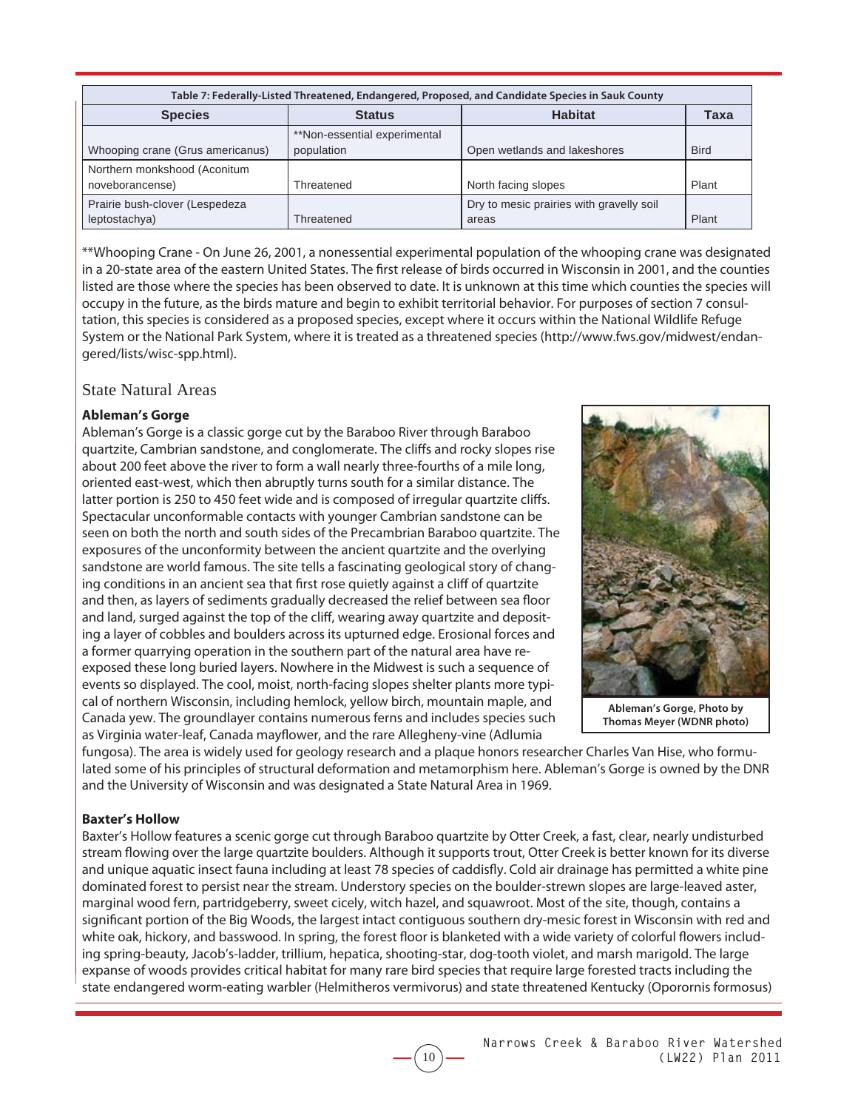| Table 7: Federally-Listed Threatened, Endangered, Proposed, and Candidate Species in Sauk County |                                            |                                                   |             |  |  |  |  |
|--------------------------------------------------------------------------------------------------|--------------------------------------------|---------------------------------------------------|-------------|--|--|--|--|
| <b>Habitat</b><br><b>Species</b><br><b>Status</b>                                                |                                            |                                                   |             |  |  |  |  |
| Whooping crane (Grus americanus)                                                                 | **Non-essential experimental<br>population | Open wetlands and lakeshores                      | <b>Bird</b> |  |  |  |  |
| Northern monkshood (Aconitum<br>noveborancense)                                                  | Threatened                                 | North facing slopes                               | Plant       |  |  |  |  |
| Prairie bush-clover (Lespedeza<br>leptostachya)                                                  | Threatened                                 | Dry to mesic prairies with gravelly soil<br>areas | Plant       |  |  |  |  |

\*\*Whooping Crane - On June 26, 2001, a nonessential experimental population of the whooping crane was designated in a 20-state area of the eastern United States. The first release of birds occurred in Wisconsin in 2001, and the counties listed are those where the species has been observed to date. It is unknown at this time which counties the species will occupy in the future, as the birds mature and begin to exhibit territorial behavior. For purposes of section 7 consultation, this species is considered as a proposed species, except where it occurs within the National Wildlife Refuge System or the National Park System, where it is treated as a threatened species (http://www.fws.gov/midwest/endangered/lists/wisc-spp.html).

State Natural Areas

### **Ableman's Gorge**

Ableman's Gorge is a classic gorge cut by the Baraboo River through Baraboo quartzite, Cambrian sandstone, and conglomerate. The cliffs and rocky slopes rise about 200 feet above the river to form a wall nearly three-fourths of a mile long, oriented east-west, which then abruptly turns south for a similar distance. The latter portion is 250 to 450 feet wide and is composed of irregular quartzite cliffs. Spectacular unconformable contacts with younger Cambrian sandstone can be seen on both the north and south sides of the Precambrian Baraboo quartzite. The exposures of the unconformity between the ancient quartzite and the overlying sandstone are world famous. The site tells a fascinating geological story of changing conditions in an ancient sea that first rose quietly against a cliff of quartzite and then, as layers of sediments gradually decreased the relief between sea floor and land, surged against the top of the cliff, wearing away quartzite and depositing a layer of cobbles and boulders across its upturned edge. Erosional forces and a former quarrying operation in the southern part of the natural area have reexposed these long buried layers. Nowhere in the Midwest is such a sequence of events so displayed. The cool, moist, north-facing slopes shelter plants more typical of northern Wisconsin, including hemlock, yellow birch, mountain maple, and Canada yew. The groundlayer contains numerous ferns and includes species such as Virginia water-leaf, Canada mayflower, and the rare Allegheny-vine (Adlumia



**Ableman's Gorge, Photo by Thomas Meyer (WDNR photo)**

fungosa). The area is widely used for geology research and a plaque honors researcher Charles Van Hise, who formulated some of his principles of structural deformation and metamorphism here. Ableman's Gorge is owned by the DNR and the University of Wisconsin and was designated a State Natural Area in 1969.

### **Baxter's Hollow**

Baxter's Hollow features a scenic gorge cut through Baraboo quartzite by Otter Creek, a fast, clear, nearly undisturbed stream flowing over the large quartzite boulders. Although it supports trout, Otter Creek is better known for its diverse and unique aquatic insect fauna including at least 78 species of caddisfly. Cold air drainage has permitted a white pine dominated forest to persist near the stream. Understory species on the boulder-strewn slopes are large-leaved aster, marginal wood fern, partridgeberry, sweet cicely, witch hazel, and squawroot. Most of the site, though, contains a significant portion of the Big Woods, the largest intact contiguous southern dry-mesic forest in Wisconsin with red and white oak, hickory, and basswood. In spring, the forest floor is blanketed with a wide variety of colorful flowers including spring-beauty, Jacob's-ladder, trillium, hepatica, shooting-star, dog-tooth violet, and marsh marigold. The large expanse of woods provides critical habitat for many rare bird species that require large forested tracts including the state endangered worm-eating warbler (Helmitheros vermivorus) and state threatened Kentucky (Oporornis formosus)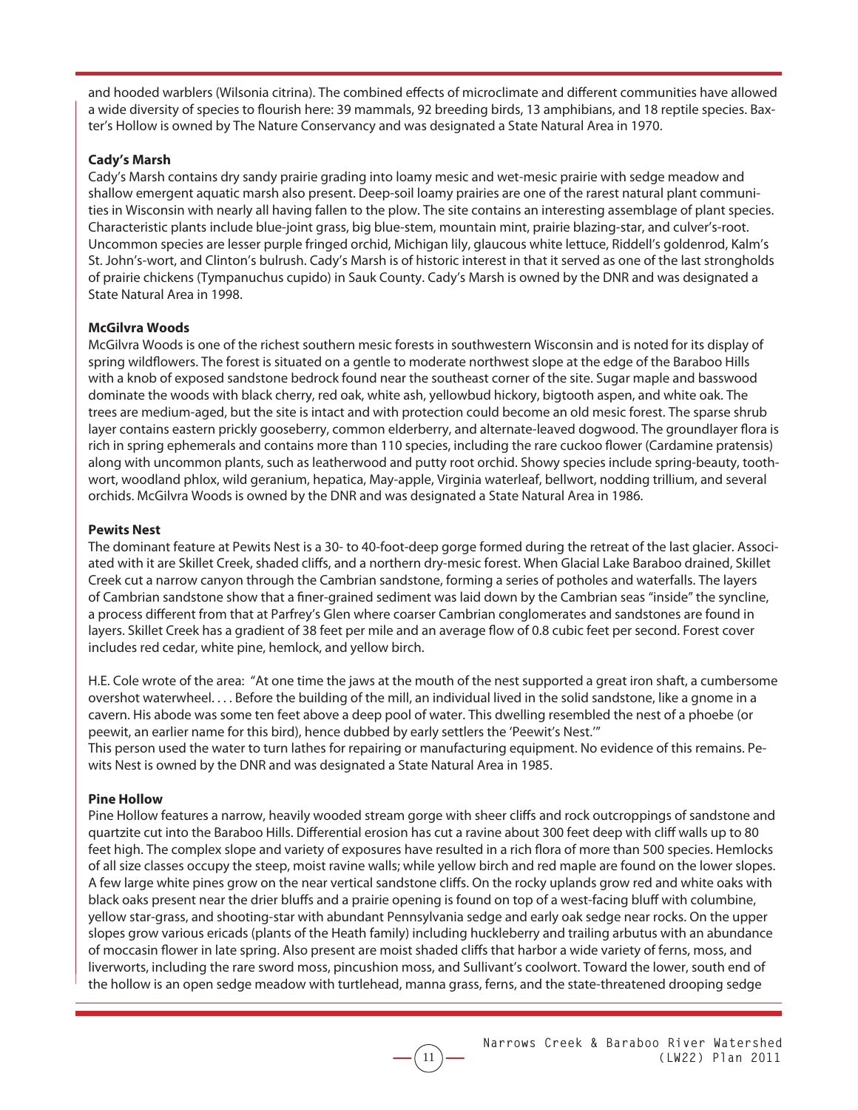and hooded warblers (Wilsonia citrina). The combined effects of microclimate and different communities have allowed a wide diversity of species to flourish here: 39 mammals, 92 breeding birds, 13 amphibians, and 18 reptile species. Baxter's Hollow is owned by The Nature Conservancy and was designated a State Natural Area in 1970.

#### **Cady's Marsh**

Cady's Marsh contains dry sandy prairie grading into loamy mesic and wet-mesic prairie with sedge meadow and shallow emergent aquatic marsh also present. Deep-soil loamy prairies are one of the rarest natural plant communities in Wisconsin with nearly all having fallen to the plow. The site contains an interesting assemblage of plant species. Characteristic plants include blue-joint grass, big blue-stem, mountain mint, prairie blazing-star, and culver's-root. Uncommon species are lesser purple fringed orchid, Michigan lily, glaucous white lettuce, Riddell's goldenrod, Kalm's St. John's-wort, and Clinton's bulrush. Cady's Marsh is of historic interest in that it served as one of the last strongholds of prairie chickens (Tympanuchus cupido) in Sauk County. Cady's Marsh is owned by the DNR and was designated a State Natural Area in 1998.

#### **McGilvra Woods**

McGilvra Woods is one of the richest southern mesic forests in southwestern Wisconsin and is noted for its display of spring wildflowers. The forest is situated on a gentle to moderate northwest slope at the edge of the Baraboo Hills with a knob of exposed sandstone bedrock found near the southeast corner of the site. Sugar maple and basswood dominate the woods with black cherry, red oak, white ash, yellowbud hickory, bigtooth aspen, and white oak. The trees are medium-aged, but the site is intact and with protection could become an old mesic forest. The sparse shrub layer contains eastern prickly gooseberry, common elderberry, and alternate-leaved dogwood. The groundlayer flora is rich in spring ephemerals and contains more than 110 species, including the rare cuckoo flower (Cardamine pratensis) along with uncommon plants, such as leatherwood and putty root orchid. Showy species include spring-beauty, toothwort, woodland phlox, wild geranium, hepatica, May-apple, Virginia waterleaf, bellwort, nodding trillium, and several orchids. McGilvra Woods is owned by the DNR and was designated a State Natural Area in 1986.

#### **Pewits Nest**

The dominant feature at Pewits Nest is a 30- to 40-foot-deep gorge formed during the retreat of the last glacier. Associated with it are Skillet Creek, shaded cliffs, and a northern dry-mesic forest. When Glacial Lake Baraboo drained, Skillet Creek cut a narrow canyon through the Cambrian sandstone, forming a series of potholes and waterfalls. The layers of Cambrian sandstone show that a finer-grained sediment was laid down by the Cambrian seas "inside" the syncline, a process different from that at Parfrey's Glen where coarser Cambrian conglomerates and sandstones are found in layers. Skillet Creek has a gradient of 38 feet per mile and an average flow of 0.8 cubic feet per second. Forest cover includes red cedar, white pine, hemlock, and yellow birch.

H.E. Cole wrote of the area: "At one time the jaws at the mouth of the nest supported a great iron shaft, a cumbersome overshot waterwheel. . . . Before the building of the mill, an individual lived in the solid sandstone, like a gnome in a cavern. His abode was some ten feet above a deep pool of water. This dwelling resembled the nest of a phoebe (or peewit, an earlier name for this bird), hence dubbed by early settlers the 'Peewit's Nest.'"

This person used the water to turn lathes for repairing or manufacturing equipment. No evidence of this remains. Pewits Nest is owned by the DNR and was designated a State Natural Area in 1985.

#### **Pine Hollow**

Pine Hollow features a narrow, heavily wooded stream gorge with sheer cliffs and rock outcroppings of sandstone and quartzite cut into the Baraboo Hills. Differential erosion has cut a ravine about 300 feet deep with cliff walls up to 80 feet high. The complex slope and variety of exposures have resulted in a rich flora of more than 500 species. Hemlocks of all size classes occupy the steep, moist ravine walls; while yellow birch and red maple are found on the lower slopes. A few large white pines grow on the near vertical sandstone cliffs. On the rocky uplands grow red and white oaks with black oaks present near the drier bluffs and a prairie opening is found on top of a west-facing bluff with columbine, yellow star-grass, and shooting-star with abundant Pennsylvania sedge and early oak sedge near rocks. On the upper slopes grow various ericads (plants of the Heath family) including huckleberry and trailing arbutus with an abundance of moccasin flower in late spring. Also present are moist shaded cliffs that harbor a wide variety of ferns, moss, and liverworts, including the rare sword moss, pincushion moss, and Sullivant's coolwort. Toward the lower, south end of the hollow is an open sedge meadow with turtlehead, manna grass, ferns, and the state-threatened drooping sedge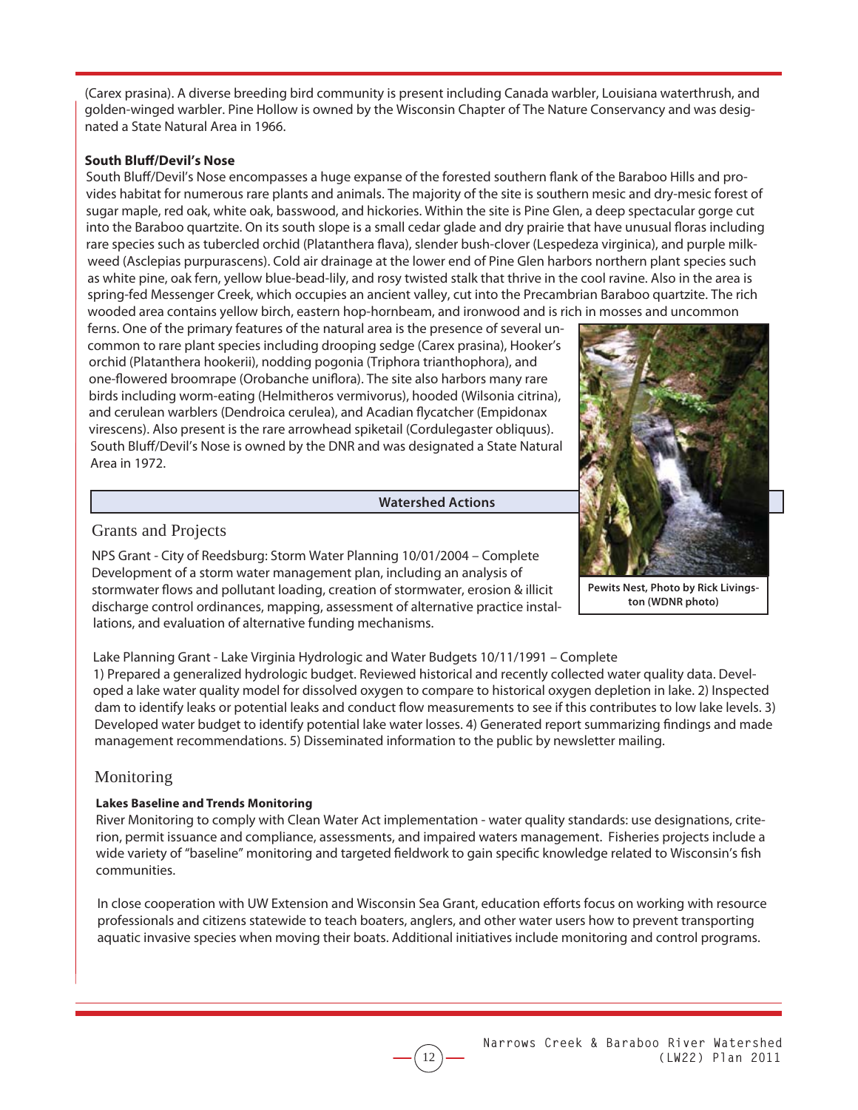(Carex prasina). A diverse breeding bird community is present including Canada warbler, Louisiana waterthrush, and golden-winged warbler. Pine Hollow is owned by the Wisconsin Chapter of The Nature Conservancy and was designated a State Natural Area in 1966.

#### **South Bluff /Devil's Nose**

South Bluff/Devil's Nose encompasses a huge expanse of the forested southern flank of the Baraboo Hills and provides habitat for numerous rare plants and animals. The majority of the site is southern mesic and dry-mesic forest of sugar maple, red oak, white oak, basswood, and hickories. Within the site is Pine Glen, a deep spectacular gorge cut into the Baraboo quartzite. On its south slope is a small cedar glade and dry prairie that have unusual floras including rare species such as tubercled orchid (Platanthera flava), slender bush-clover (Lespedeza virginica), and purple milkweed (Asclepias purpurascens). Cold air drainage at the lower end of Pine Glen harbors northern plant species such as white pine, oak fern, yellow blue-bead-lily, and rosy twisted stalk that thrive in the cool ravine. Also in the area is spring-fed Messenger Creek, which occupies an ancient valley, cut into the Precambrian Baraboo quartzite. The rich wooded area contains yellow birch, eastern hop-hornbeam, and ironwood and is rich in mosses and uncommon

ferns. One of the primary features of the natural area is the presence of several uncommon to rare plant species including drooping sedge (Carex prasina), Hooker's orchid (Platanthera hookerii), nodding pogonia (Triphora trianthophora), and one-flowered broomrape (Orobanche uniflora). The site also harbors many rare birds including worm-eating (Helmitheros vermivorus), hooded (Wilsonia citrina), and cerulean warblers (Dendroica cerulea), and Acadian flycatcher (Empidonax virescens). Also present is the rare arrowhead spiketail (Cordulegaster obliquus). South Bluff/Devil's Nose is owned by the DNR and was designated a State Natural Area in 1972.

#### **Watershed Actions**



**Pewits Nest, Photo by Rick Livingston (WDNR photo)**

### Grants and Projects

NPS Grant - City of Reedsburg: Storm Water Planning 10/01/2004 – Complete Development of a storm water management plan, including an analysis of stormwater flows and pollutant loading, creation of stormwater, erosion & illicit discharge control ordinances, mapping, assessment of alternative practice installations, and evaluation of alternative funding mechanisms.

Lake Planning Grant - Lake Virginia Hydrologic and Water Budgets 10/11/1991 – Complete

1) Prepared a generalized hydrologic budget. Reviewed historical and recently collected water quality data. Developed a lake water quality model for dissolved oxygen to compare to historical oxygen depletion in lake. 2) Inspected dam to identify leaks or potential leaks and conduct flow measurements to see if this contributes to low lake levels. 3) Developed water budget to identify potential lake water losses. 4) Generated report summarizing findings and made management recommendations. 5) Disseminated information to the public by newsletter mailing.

# Monitoring

### **Lakes Baseline and Trends Monitoring**

River Monitoring to comply with Clean Water Act implementation - water quality standards: use designations, criterion, permit issuance and compliance, assessments, and impaired waters management. Fisheries projects include a wide variety of "baseline" monitoring and targeted fieldwork to gain specific knowledge related to Wisconsin's fish communities.

In close cooperation with UW Extension and Wisconsin Sea Grant, education efforts focus on working with resource professionals and citizens statewide to teach boaters, anglers, and other water users how to prevent transporting aquatic invasive species when moving their boats. Additional initiatives include monitoring and control programs.

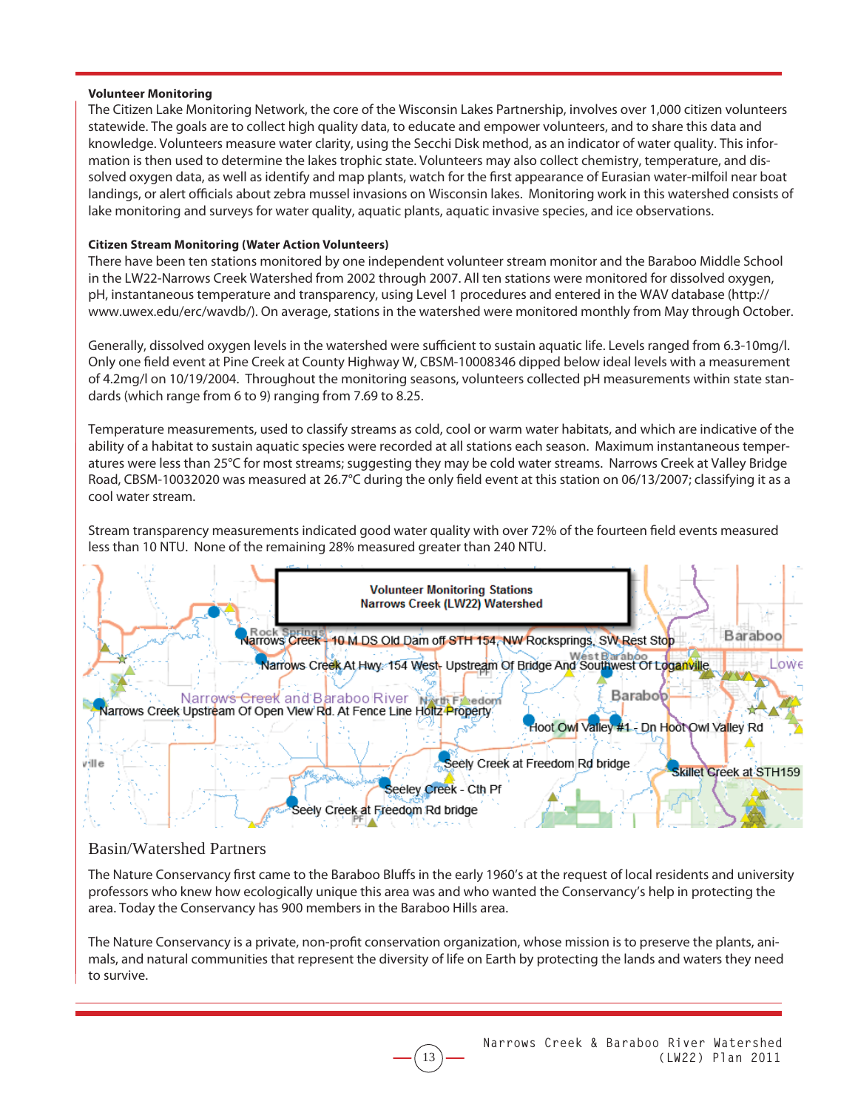#### **Volunteer Monitoring**

The Citizen Lake Monitoring Network, the core of the Wisconsin Lakes Partnership, involves over 1,000 citizen volunteers statewide. The goals are to collect high quality data, to educate and empower volunteers, and to share this data and knowledge. Volunteers measure water clarity, using the Secchi Disk method, as an indicator of water quality. This information is then used to determine the lakes trophic state. Volunteers may also collect chemistry, temperature, and dissolved oxygen data, as well as identify and map plants, watch for the first appearance of Eurasian water-milfoil near boat landings, or alert officials about zebra mussel invasions on Wisconsin lakes. Monitoring work in this watershed consists of lake monitoring and surveys for water quality, aquatic plants, aquatic invasive species, and ice observations.

#### **Citizen Stream Monitoring (Water Action Volunteers)**

There have been ten stations monitored by one independent volunteer stream monitor and the Baraboo Middle School in the LW22-Narrows Creek Watershed from 2002 through 2007. All ten stations were monitored for dissolved oxygen, pH, instantaneous temperature and transparency, using Level 1 procedures and entered in the WAV database (http:// www.uwex.edu/erc/wavdb/). On average, stations in the watershed were monitored monthly from May through October.

Generally, dissolved oxygen levels in the watershed were sufficient to sustain aquatic life. Levels ranged from 6.3-10mg/l. Only one field event at Pine Creek at County Highway W, CBSM-10008346 dipped below ideal levels with a measurement of 4.2mg/l on 10/19/2004. Throughout the monitoring seasons, volunteers collected pH measurements within state standards (which range from 6 to 9) ranging from 7.69 to 8.25.

Temperature measurements, used to classify streams as cold, cool or warm water habitats, and which are indicative of the ability of a habitat to sustain aquatic species were recorded at all stations each season. Maximum instantaneous temperatures were less than 25°C for most streams; suggesting they may be cold water streams. Narrows Creek at Valley Bridge Road, CBSM-10032020 was measured at 26.7 $^{\circ}$ C during the only field event at this station on 06/13/2007; classifying it as a cool water stream.

Stream transparency measurements indicated good water quality with over 72% of the fourteen field events measured less than 10 NTU. None of the remaining 28% measured greater than 240 NTU.



### Basin/Watershed Partners

The Nature Conservancy first came to the Baraboo Bluffs in the early 1960's at the request of local residents and university professors who knew how ecologically unique this area was and who wanted the Conservancy's help in protecting the area. Today the Conservancy has 900 members in the Baraboo Hills area.

The Nature Conservancy is a private, non-profit conservation organization, whose mission is to preserve the plants, animals, and natural communities that represent the diversity of life on Earth by protecting the lands and waters they need to survive.